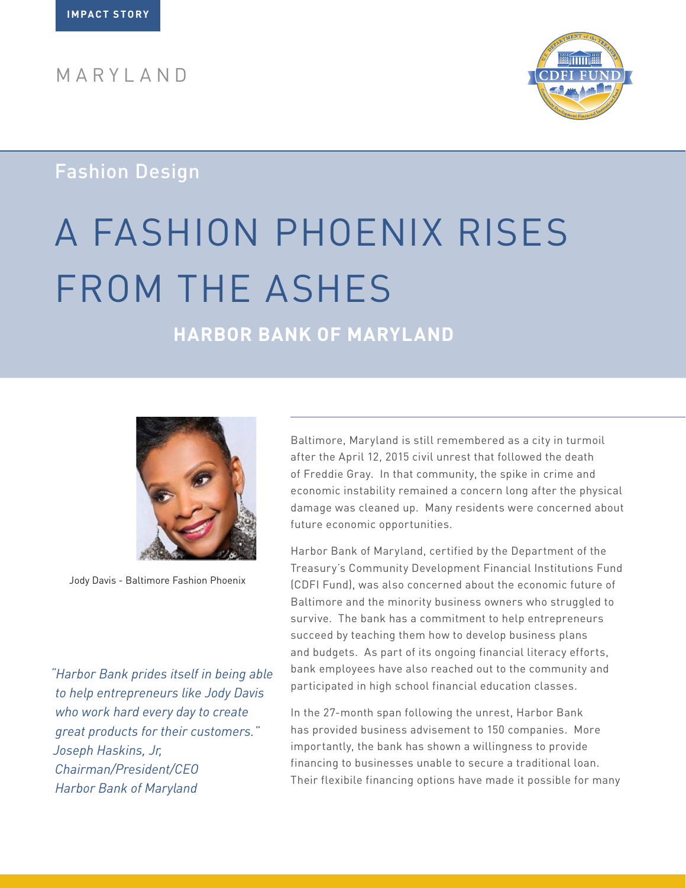MARYLAND



### Fashion Design

# A FASHION PHOENIX RISES FROM THE ASHES

## **HARBOR BANK OF MARYLAND**



Jody Davis - Baltimore Fashion Phoenix

*"Harbor Bank prides itself in being able to help entrepreneurs like Jody Davis who work hard every day to create great products for their customers." Joseph Haskins, Jr, Chairman/President/CEO Harbor Bank of Maryland*

Baltimore, Maryland is still remembered as a city in turmoil after the April 12, 2015 civil unrest that followed the death of Freddie Gray. In that community, the spike in crime and economic instability remained a concern long after the physical damage was cleaned up. Many residents were concerned about future economic opportunities.

Harbor Bank of Maryland, certified by the Department of the Treasury's Community Development Financial Institutions Fund (CDFI Fund), was also concerned about the economic future of Baltimore and the minority business owners who struggled to survive. The bank has a commitment to help entrepreneurs succeed by teaching them how to develop business plans and budgets. As part of its ongoing financial literacy efforts, bank employees have also reached out to the community and participated in high school financial education classes.

In the 27-month span following the unrest, Harbor Bank has provided business advisement to 150 companies. More importantly, the bank has shown a willingness to provide financing to businesses unable to secure a traditional loan. Their flexibile financing options have made it possible for many